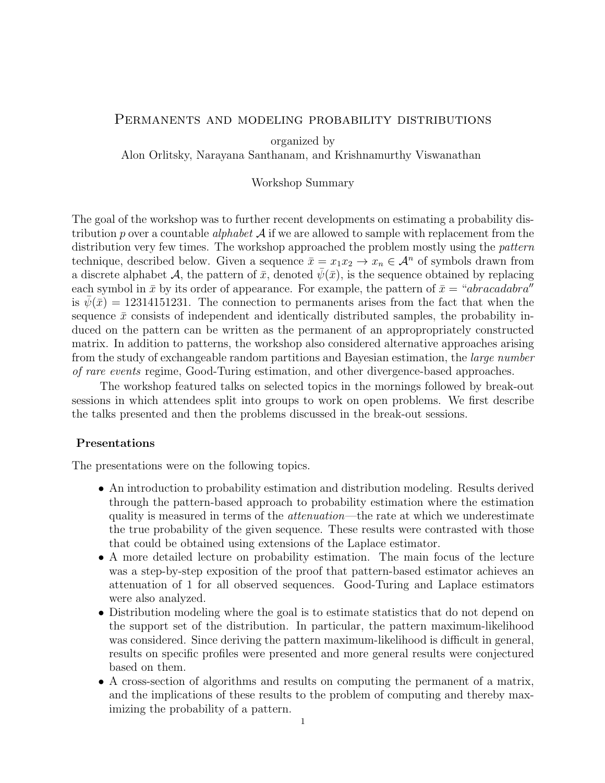## Permanents and modeling probability distributions

organized by

Alon Orlitsky, Narayana Santhanam, and Krishnamurthy Viswanathan

## Workshop Summary

The goal of the workshop was to further recent developments on estimating a probability distribution p over a countable *alphabet*  $A$  if we are allowed to sample with replacement from the distribution very few times. The workshop approached the problem mostly using the *pattern* technique, described below. Given a sequence  $\bar{x} = x_1x_2 \rightarrow x_n \in \mathcal{A}^n$  of symbols drawn from a discrete alphabet A, the pattern of  $\bar{x}$ , denoted  $\psi(\bar{x})$ , is the sequence obtained by replacing each symbol in  $\bar{x}$  by its order of appearance. For example, the pattern of  $\bar{x} = \alpha b r \alpha c \alpha d \alpha b r \alpha^{\prime\prime}$ is  $\psi(\bar{x}) = 12314151231$ . The connection to permanents arises from the fact that when the sequence  $\bar{x}$  consists of independent and identically distributed samples, the probability induced on the pattern can be written as the permanent of an appropropriately constructed matrix. In addition to patterns, the workshop also considered alternative approaches arising from the study of exchangeable random partitions and Bayesian estimation, the large number of rare events regime, Good-Turing estimation, and other divergence-based approaches.

The workshop featured talks on selected topics in the mornings followed by break-out sessions in which attendees split into groups to work on open problems. We first describe the talks presented and then the problems discussed in the break-out sessions.

## Presentations

The presentations were on the following topics.

- An introduction to probability estimation and distribution modeling. Results derived through the pattern-based approach to probability estimation where the estimation quality is measured in terms of the *attenuation*—the rate at which we underestimate the true probability of the given sequence. These results were contrasted with those that could be obtained using extensions of the Laplace estimator.
- A more detailed lecture on probability estimation. The main focus of the lecture was a step-by-step exposition of the proof that pattern-based estimator achieves an attenuation of 1 for all observed sequences. Good-Turing and Laplace estimators were also analyzed.
- Distribution modeling where the goal is to estimate statistics that do not depend on the support set of the distribution. In particular, the pattern maximum-likelihood was considered. Since deriving the pattern maximum-likelihood is difficult in general, results on specific profiles were presented and more general results were conjectured based on them.
- A cross-section of algorithms and results on computing the permanent of a matrix, and the implications of these results to the problem of computing and thereby maximizing the probability of a pattern.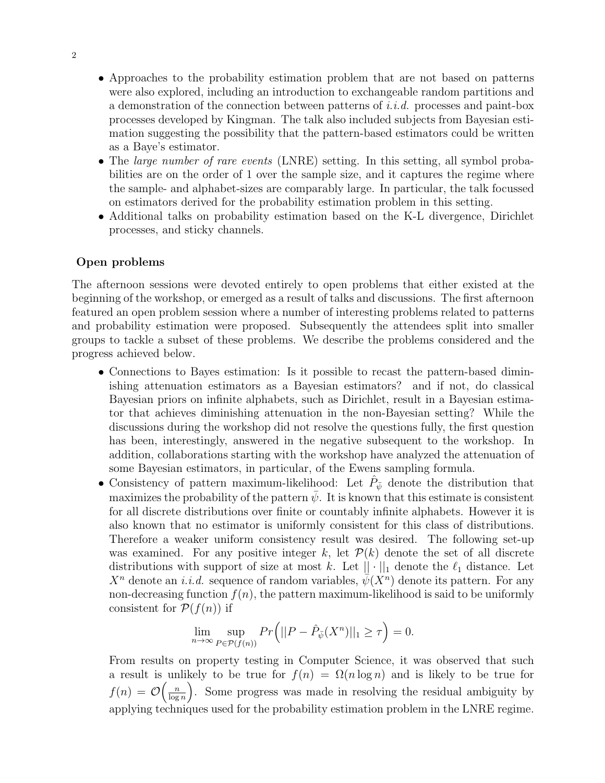- Approaches to the probability estimation problem that are not based on patterns were also explored, including an introduction to exchangeable random partitions and a demonstration of the connection between patterns of i.i.d. processes and paint-box processes developed by Kingman. The talk also included subjects from Bayesian estimation suggesting the possibility that the pattern-based estimators could be written as a Baye's estimator.
- The *large number of rare events* (LNRE) setting. In this setting, all symbol probabilities are on the order of 1 over the sample size, and it captures the regime where the sample- and alphabet-sizes are comparably large. In particular, the talk focussed on estimators derived for the probability estimation problem in this setting.
- Additional talks on probability estimation based on the K-L divergence, Dirichlet processes, and sticky channels.

## Open problems

The afternoon sessions were devoted entirely to open problems that either existed at the beginning of the workshop, or emerged as a result of talks and discussions. The first afternoon featured an open problem session where a number of interesting problems related to patterns and probability estimation were proposed. Subsequently the attendees split into smaller groups to tackle a subset of these problems. We describe the problems considered and the progress achieved below.

- Connections to Bayes estimation: Is it possible to recast the pattern-based diminishing attenuation estimators as a Bayesian estimators? and if not, do classical Bayesian priors on infinite alphabets, such as Dirichlet, result in a Bayesian estimator that achieves diminishing attenuation in the non-Bayesian setting? While the discussions during the workshop did not resolve the questions fully, the first question has been, interestingly, answered in the negative subsequent to the workshop. In addition, collaborations starting with the workshop have analyzed the attenuation of some Bayesian estimators, in particular, of the Ewens sampling formula.
- Consistency of pattern maximum-likelihood: Let  $\hat{P}_{\bar{\psi}}$  denote the distribution that maximizes the probability of the pattern  $\bar{\psi}$ . It is known that this estimate is consistent for all discrete distributions over finite or countably infinite alphabets. However it is also known that no estimator is uniformly consistent for this class of distributions. Therefore a weaker uniform consistency result was desired. The following set-up was examined. For any positive integer k, let  $\mathcal{P}(k)$  denote the set of all discrete distributions with support of size at most k. Let  $|| \cdot ||_1$  denote the  $\ell_1$  distance. Let  $X^n$  denote an *i.i.d.* sequence of random variables,  $\overline{\psi}(X^n)$  denote its pattern. For any non-decreasing function  $f(n)$ , the pattern maximum-likelihood is said to be uniformly consistent for  $\mathcal{P}(f(n))$  if

$$
\lim_{n \to \infty} \sup_{P \in \mathcal{P}(f(n))} Pr(|P - \hat{P}_{\bar{\psi}}(X^n)||_1 \ge \tau) = 0.
$$

From results on property testing in Computer Science, it was observed that such a result is unlikely to be true for  $f(n) = \Omega(n \log n)$  and is likely to be true for  $f(n) = \mathcal{O}\left(\frac{n}{\log n}\right)$  $\left(\frac{n}{\log n}\right)$ . Some progress was made in resolving the residual ambiguity by applying techniques used for the probability estimation problem in the LNRE regime.